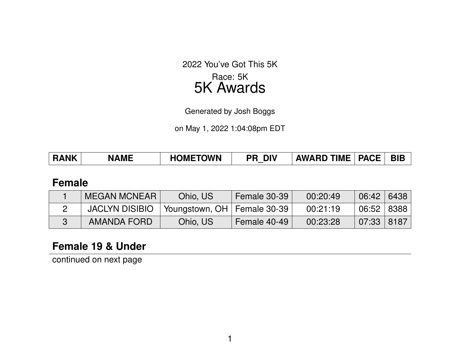2022 You've Got This 5K Race: 5K

# 5K Awards

Generated by Josh Boggs

on May 1, 2022 1:04:08pm EDT

| <b>RANK</b> | <b>NAME</b> | <b>HOMETOWN</b><br>PR | <b>DIV</b><br>_ | <b>PACE</b><br><b>AWARD TIME</b> | <b>BIB</b> |  |
|-------------|-------------|-----------------------|-----------------|----------------------------------|------------|--|
|             |             |                       |                 |                                  |            |  |

#### **Female**

| <b>MEGAN MCNEAR</b>   | Ohio, US                      | Female 30-39 | 00:20:49 | 06:42 6438   |  |
|-----------------------|-------------------------------|--------------|----------|--------------|--|
| <b>JACLYN DISIBIO</b> | Youngstown, OH   Female 30-39 |              | 00:21:19 | 06:52   8388 |  |
| AMANDA FORD           | Ohio, US                      | Female 40-49 | 00:23:28 | 07:33   8187 |  |

## **Female 19 & Under**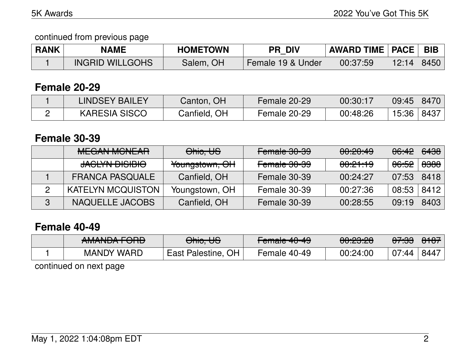### continued from previous page

| <b>RANK</b> | <b>NAME</b>            | <b>HOMETOWN</b> | <b>PR DIV</b>     | <b>AWARD TIME   PACE  </b> |       | <b>BIB</b> |
|-------------|------------------------|-----------------|-------------------|----------------------------|-------|------------|
|             | <b>INGRID WILLGOHS</b> | Salem, OH       | Female 19 & Under | 00:37:59                   | 12:14 | 8450       |

### **Female 20-29**

| <b>LINDSEY BAILEY</b> | Canton, OH   | Female 20-29 | 00:30:17 | 09:45 | 8470  |
|-----------------------|--------------|--------------|----------|-------|-------|
| <b>KARESIA SISCO</b>  | Canfield, OH | Female 20-29 | 00:48:26 | 15:36 | .8437 |

### **Female 30-39**

| <b>MEGAN MCNEAR</b>      | Ohio, US       | Female 30-39 | 00:20:49            | <del>06:42</del> | <del>6438</del> |
|--------------------------|----------------|--------------|---------------------|------------------|-----------------|
| <b>JACLYN DISIBIO</b>    | Youngstown, OH | Female 30-39 | <del>00:21:19</del> | <del>06:52</del> | <del>8388</del> |
| <b>FRANCA PASQUALE</b>   | Canfield, OH   | Female 30-39 | 00:24:27            | 07:53            | 8418            |
| <b>KATELYN MCQUISTON</b> | Youngstown, OH | Female 30-39 | 00:27:36            | 08:53            | 8412            |
| NAQUELLE JACOBS          | Canfield, OH   | Female 30-39 | 00:28:55            | 09:19            | 8403            |

### **Female 40-49**

| ANAANINA FODD          | $\bigcap$ $\bigcup_{n=1}^{\infty}$ | $F$ <sub>amala</sub> $10, 10$ | nn.nn.nn            | <u>ממ.דמ</u>     | 0.107                |
|------------------------|------------------------------------|-------------------------------|---------------------|------------------|----------------------|
| <del>AMANDAT OND</del> | <del>omo, oo</del>                 | <del>Fullaic 40-40</del>      | <del>uu.cu.cu</del> | <del>ur.oo</del> | $\sigma$ or $\sigma$ |
| <b>MANDY WARD</b>      | East Palestine, OH                 | Female 40-49                  | 00:24:00            | 07:44            |                      |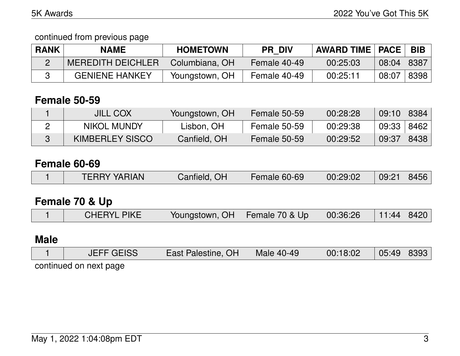continued from previous page

| <b>RANK</b> | <b>NAME</b>              | <b>HOMETOWN</b> | <b>PR DIV</b> | <b>AWARD TIME   PACE  </b> |       | <b>BIB</b> |
|-------------|--------------------------|-----------------|---------------|----------------------------|-------|------------|
|             | <b>MEREDITH DEICHLER</b> | Columbiana, OH  | Female 40-49  | 00:25:03                   | 08:04 | 8387       |
|             | <b>GENIENE HANKEY</b>    | Youngstown, OH  | Female 40-49  | 00:25:11                   | 08:07 | 8398       |

## **Female 50-59**

| <b>JILL COX</b>    | Youngstown, OH | Female 50-59 | 00:28:28 | $09:10$ 8384 |                     |
|--------------------|----------------|--------------|----------|--------------|---------------------|
| <b>NIKOL MUNDY</b> | Lisbon, OH     | Female 50-59 | 00:29:38 | 09:33        | <sup>'</sup> 8462 ∣ |
| KIMBERLEY SISCO    | Canfield, OH   | Female 50-59 | 00:29:52 | 09:37        | 8438                |

# **Female 60-69**

|  | <b>TERRY YARIAN</b> | Canfield, OH | Female 60-69 | 00:29:02 | 09:21 | 8456 |
|--|---------------------|--------------|--------------|----------|-------|------|
|--|---------------------|--------------|--------------|----------|-------|------|

# **Female 70 & Up**

|  | <b>CHERYL PIKE</b> | Youngstown, OH   Female 70 & Up   00:36:26   11:44   8420 |  |  |  |  |
|--|--------------------|-----------------------------------------------------------|--|--|--|--|
|--|--------------------|-----------------------------------------------------------|--|--|--|--|

# **Male**

|                        | <b>JEFF GEISS</b> | East Palestine, OH | Male 40-49 | 00:18:02 | 05:49   8393 |  |  |  |
|------------------------|-------------------|--------------------|------------|----------|--------------|--|--|--|
| continued on next nage |                   |                    |            |          |              |  |  |  |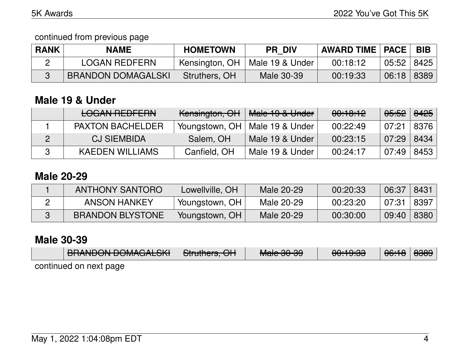continued from previous page

| <b>RANK</b> | <b>NAME</b>               | <b>HOMETOWN</b> | <b>PR DIV</b>                    | AWARD TIME   PACE |              | <b>BIB</b> |
|-------------|---------------------------|-----------------|----------------------------------|-------------------|--------------|------------|
|             | <b>LOGAN REDFERN</b>      |                 | Kensington, OH   Male 19 & Under | 00:18:12          | 05:52   8425 |            |
|             | <b>BRANDON DOMAGALSKI</b> | Struthers, OH   | Male 30-39                       | 00:19:33          | 06:18        | 8389       |

# **Male 19 & Under**

|   | <b>LOGAN REDFERN</b>    | <del>Kensington, OH</del> | Male 19 & Under                  | 00:10:12 | <del>05:52</del> | <del>8425</del> |
|---|-------------------------|---------------------------|----------------------------------|----------|------------------|-----------------|
|   | <b>PAXTON BACHELDER</b> |                           | Youngstown, OH   Male 19 & Under | 00:22:49 | 07:21            | 8376            |
| 2 | <b>CJ SIEMBIDA</b>      | Salem, OH                 | Male 19 & Under                  | 00:23:15 | 07:29            | 8434            |
|   | <b>KAEDEN WILLIAMS</b>  | Canfield, OH              | Male 19 & Under                  | 00:24:17 | 07:49            | 8453            |

### **Male 20-29**

| <b>ANTHONY SANTORO</b>  | Lowellville, OH | Male 20-29 | 00:20:33 | 06:37 | 8431 |
|-------------------------|-----------------|------------|----------|-------|------|
| ANSON HANKEY            | Youngstown, OH  | Male 20-29 | 00:23:20 | 07:31 | 8397 |
| <b>BRANDON BLYSTONE</b> | Youngstown, OH  | Male 20-29 | 00:30:00 | 09:40 | 8380 |

# **Male 30-39**

| <b>DOANDONI DOMAÇÃI CIZI</b> | $Q_{\text{t}}$ $\mathbf{H}_{\text{t}}$ $\mathbf{H}_{\text{t}}$ $\mathbf{H}_{\text{t}}$ | $M = 0.0000$          | 0.10.00             | $\bigcap_{n=1}^{\infty}$             | nnnn.                                         |
|------------------------------|----------------------------------------------------------------------------------------|-----------------------|---------------------|--------------------------------------|-----------------------------------------------|
| <b>DINAINDUN DUMAUALUN</b>   | <del>oliuliicis. Ori</del>                                                             | <del>Maic JU-JJ</del> | <del>uu. s.oo</del> | $\overline{\mathtt{UU}.\mathtt{TU}}$ | $\overline{\text{O}\text{O}\text{O}\text{O}}$ |
| Antinued on nevt nane        |                                                                                        |                       |                     |                                      |                                               |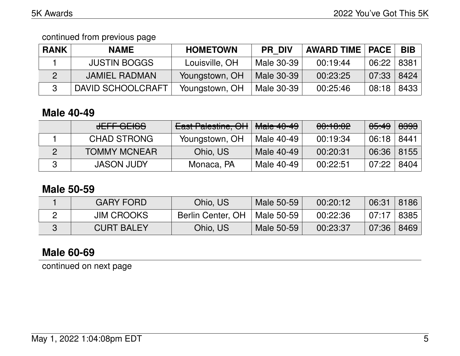continued from previous page

| <b>RANK</b> | <b>NAME</b>         | <b>HOMETOWN</b> | <b>PR DIV</b> | <b>AWARD TIME   PACE</b> |       | <b>BIB</b> |
|-------------|---------------------|-----------------|---------------|--------------------------|-------|------------|
|             | <b>JUSTIN BOGGS</b> | Louisville, OH  | Male 30-39    | 00:19:44                 | 06:22 | -8381      |
| 2           | JAMIEL RADMAN       | Youngstown, OH  | Male 30-39    | 00:23:25                 | 07:33 | 8424       |
| -3          | DAVID SCHOOLCRAFT   | Youngstown, OH  | Male 30-39    | 00:25:46                 | 08:18 | 8433       |

## **Male 40-49**

| JEFF GEISS          | <b>East Palestine, OH</b> | $\vert$ <del>Male 40-49</del> | 00:10:02 | <del>05:49</del> | <del>8393</del> |
|---------------------|---------------------------|-------------------------------|----------|------------------|-----------------|
| <b>CHAD STRONG</b>  | Youngstown, OH            | Male 40-49                    | 00:19:34 | 06:18            | 8441            |
| <b>TOMMY MCNEAR</b> | Ohio, US                  | Male 40-49                    | 00:20:31 | $06:36$ 8155     |                 |
| <b>JASON JUDY</b>   | Monaca, PA                | Male 40-49                    | 00:22:51 | 07:22            | 8404            |

### **Male 50-59**

| <b>GARY FORD</b>  | Ohio, US                       | Male 50-59 | 00:20:12 | 06:31   | 8186   |
|-------------------|--------------------------------|------------|----------|---------|--------|
| <b>JIM CROOKS</b> | Berlin Center, OH   Male 50-59 |            | 00:22:36 | 07:17   | ' 8385 |
| <b>CURT BALEY</b> | Ohio, US                       | Male 50-59 | 00:23:37 | (07:36) | 8469   |

# **Male 60-69**